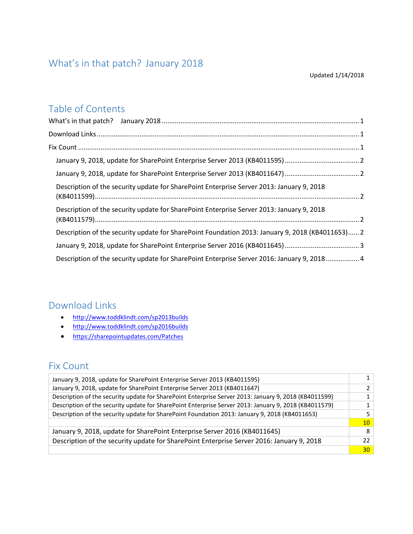# <span id="page-0-0"></span>What's in that patch? January 2018

#### Updated 1/14/2018

# Table of Contents

## <span id="page-0-1"></span>Download Links

- <http://www.toddklindt.com/sp2013builds>
- <http://www.toddklindt.com/sp2016builds>
- <https://sharepointupdates.com/Patches>

# <span id="page-0-2"></span>Fix Count

| January 9, 2018, update for SharePoint Enterprise Server 2013 (KB4011595)                             | $1\vert$        |
|-------------------------------------------------------------------------------------------------------|-----------------|
| January 9, 2018, update for SharePoint Enterprise Server 2013 (KB4011647)                             | 2 <sup>1</sup>  |
| Description of the security update for SharePoint Enterprise Server 2013: January 9, 2018 (KB4011599) | $1\vert$        |
| Description of the security update for SharePoint Enterprise Server 2013: January 9, 2018 (KB4011579) | 1 <sup>1</sup>  |
| Description of the security update for SharePoint Foundation 2013: January 9, 2018 (KB4011653)        | 5 <sup>1</sup>  |
|                                                                                                       | 10 <sup>1</sup> |
| January 9, 2018, update for SharePoint Enterprise Server 2016 (KB4011645)                             | 8 <sup>1</sup>  |
| Description of the security update for SharePoint Enterprise Server 2016: January 9, 2018             | 22 <sub>1</sub> |
|                                                                                                       | 30 <sup>1</sup> |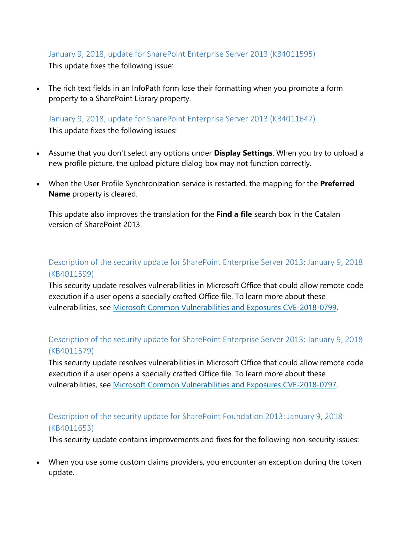### <span id="page-1-0"></span>January 9, 2018, update for SharePoint Enterprise Server 2013 (KB4011595)

This update fixes the following issue:

• The rich text fields in an InfoPath form lose their formatting when you promote a form property to a SharePoint Library property.

<span id="page-1-1"></span>January 9, 2018, update for SharePoint Enterprise Server 2013 (KB4011647) This update fixes the following issues:

- Assume that you don't select any options under **Display Settings**. When you try to upload a new profile picture, the upload picture dialog box may not function correctly.
- When the User Profile Synchronization service is restarted, the mapping for the **Preferred Name** property is cleared.

This update also improves the translation for the **Find a file** search box in the Catalan version of SharePoint 2013.

### <span id="page-1-2"></span>Description of the security update for SharePoint Enterprise Server 2013: January 9, 2018 (KB4011599)

This security update resolves vulnerabilities in Microsoft Office that could allow remote code execution if a user opens a specially crafted Office file. To learn more about these vulnerabilities, see [Microsoft Common Vulnerabilities and Exposures CVE-2018-0799.](https://portal.msrc.microsoft.com/en-US/security-guidance/advisory/CVE-2018-0799)

### <span id="page-1-3"></span>Description of the security update for SharePoint Enterprise Server 2013: January 9, 2018 (KB4011579)

This security update resolves vulnerabilities in Microsoft Office that could allow remote code execution if a user opens a specially crafted Office file. To learn more about these vulnerabilities, see [Microsoft Common Vulnerabilities and Exposures CVE-2018-0797.](https://portal.msrc.microsoft.com/en-US/security-guidance/advisory/CVE-2018-0797)

### <span id="page-1-4"></span>Description of the security update for SharePoint Foundation 2013: January 9, 2018 (KB4011653)

This security update contains improvements and fixes for the following non-security issues:

• When you use some custom claims providers, you encounter an exception during the token update.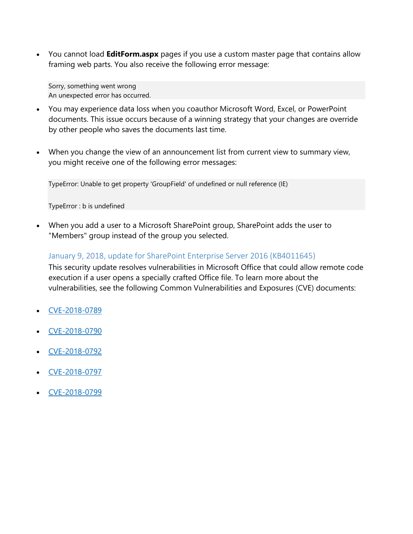• You cannot load **EditForm.aspx** pages if you use a custom master page that contains allow framing web parts. You also receive the following error message:

Sorry, something went wrong An unexpected error has occurred.

- You may experience data loss when you coauthor Microsoft Word, Excel, or PowerPoint documents. This issue occurs because of a winning strategy that your changes are override by other people who saves the documents last time.
- When you change the view of an announcement list from current view to summary view, you might receive one of the following error messages:

TypeError: Unable to get property 'GroupField' of undefined or null reference (IE)

TypeError : b is undefined

• When you add a user to a Microsoft SharePoint group, SharePoint adds the user to "Members" group instead of the group you selected.

### <span id="page-2-0"></span>January 9, 2018, update for SharePoint Enterprise Server 2016 (KB4011645)

This security update resolves vulnerabilities in Microsoft Office that could allow remote code execution if a user opens a specially crafted Office file. To learn more about the vulnerabilities, see the following Common Vulnerabilities and Exposures (CVE) documents:

- [CVE-2018-0789](https://portal.msrc.microsoft.com/en-US/security-guidance/advisory/CVE-2018-0789)
- [CVE-2018-0790](https://portal.msrc.microsoft.com/en-US/security-guidance/advisory/CVE-2018-0790)
- [CVE-2018-0792](https://portal.msrc.microsoft.com/en-US/security-guidance/advisory/CVE-2018-0792)
- [CVE-2018-0797](https://portal.msrc.microsoft.com/en-US/security-guidance/advisory/CVE-2018-0797)
- [CVE-2018-0799](https://portal.msrc.microsoft.com/en-US/security-guidance/advisory/CVE-2018-0799)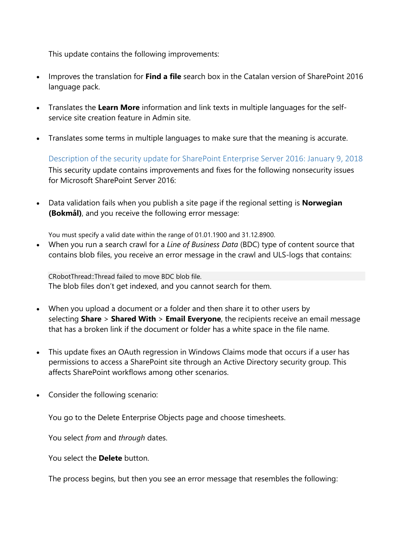This update contains the following improvements:

- Improves the translation for **Find a file** search box in the Catalan version of SharePoint 2016 language pack.
- Translates the **Learn More** information and link texts in multiple languages for the selfservice site creation feature in Admin site.
- Translates some terms in multiple languages to make sure that the meaning is accurate.

<span id="page-3-0"></span>Description of the security update for SharePoint Enterprise Server 2016: January 9, 2018 This security update contains improvements and fixes for the following nonsecurity issues for Microsoft SharePoint Server 2016:

• Data validation fails when you publish a site page if the regional setting is **Norwegian (Bokmål)**, and you receive the following error message:

You must specify a valid date within the range of 01.01.1900 and 31.12.8900.

• When you run a search crawl for a *Line of Business Data* (BDC) type of content source that contains blob files, you receive an error message in the crawl and ULS-logs that contains:

CRobotThread::Thread failed to move BDC blob file. The blob files don't get indexed, and you cannot search for them.

- When you upload a document or a folder and then share it to other users by selecting **Share** > **Shared With** > **Email Everyone**, the recipients receive an email message that has a broken link if the document or folder has a white space in the file name.
- This update fixes an OAuth regression in Windows Claims mode that occurs if a user has permissions to access a SharePoint site through an Active Directory security group. This affects SharePoint workflows among other scenarios.
- Consider the following scenario:

You go to the Delete Enterprise Objects page and choose timesheets.

You select *from* and *through* dates.

You select the **Delete** button.

The process begins, but then you see an error message that resembles the following: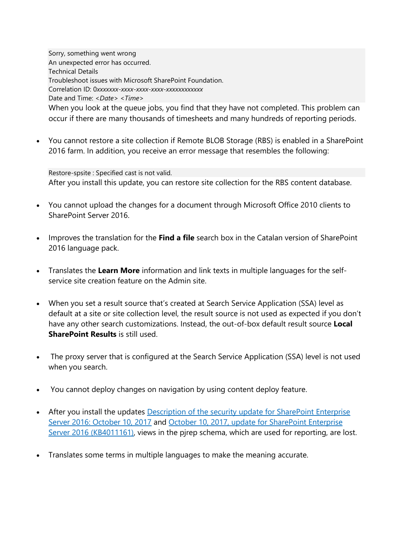Sorry, something went wrong An unexpected error has occurred. Technical Details Troubleshoot issues with Microsoft SharePoint Foundation. Correlation ID: 0*xxxxxxx-xxxx-xxxx-xxxx-xxxxxxxxxxxx* Date and Time: *<Date> <Time>* When you look at the queue jobs, you find that they have not completed. This problem can occur if there are many thousands of timesheets and many hundreds of reporting periods.

• You cannot restore a site collection if Remote BLOB Storage (RBS) is enabled in a SharePoint 2016 farm. In addition, you receive an error message that resembles the following:

Restore-spsite : Specified cast is not valid. After you install this update, you can restore site collection for the RBS content database.

- You cannot upload the changes for a document through Microsoft Office 2010 clients to SharePoint Server 2016.
- Improves the translation for the **Find a file** search box in the Catalan version of SharePoint 2016 language pack.
- Translates the **Learn More** information and link texts in multiple languages for the selfservice site creation feature on the Admin site.
- When you set a result source that's created at Search Service Application (SSA) level as default at a site or site collection level, the result source is not used as expected if you don't have any other search customizations. Instead, the out-of-box default result source **Local SharePoint Results** is still used.
- The proxy server that is configured at the Search Service Application (SSA) level is not used when you search.
- You cannot deploy changes on navigation by using content deploy feature.
- After you install the updates Description of the security update for SharePoint Enterprise [Server 2016: October 10, 2017](https://support.microsoft.com/en-us/help/4011217/security-update-for-sharepoint-enterprise-server-2016) and [October 10, 2017, update for SharePoint Enterprise](https://support.microsoft.com/en-us/help/4011161/october-10-2017-update-for-sharepoint-server-2016-kb4011161)  [Server 2016 \(KB4011161\),](https://support.microsoft.com/en-us/help/4011161/october-10-2017-update-for-sharepoint-server-2016-kb4011161) views in the pjrep schema, which are used for reporting, are lost.
- Translates some terms in multiple languages to make the meaning accurate.